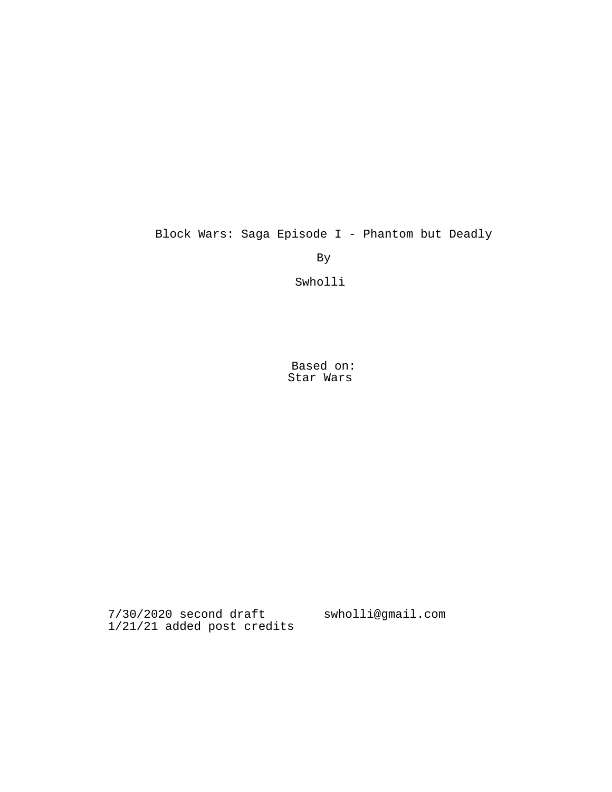# Block Wars: Saga Episode I - Phantom but Deadly

By

Swholli

Based on: Star Wars

7/30/2020 second draft swholli@gmail.com1/21/21 added post credits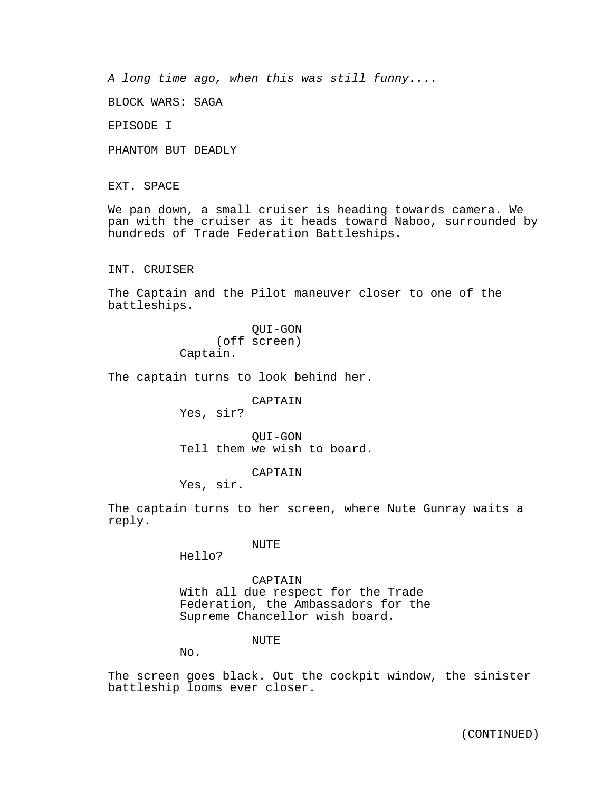*A long time ago, when this was still funny....*

BLOCK WARS: SAGA

EPISODE I

PHANTOM BUT DEADLY

EXT. SPACE

We pan down, a small cruiser is heading towards camera. We pan with the cruiser as it heads toward Naboo, surrounded by hundreds of Trade Federation Battleships.

INT. CRUISER

The Captain and the Pilot maneuver closer to one of the battleships.

> QUI-GON (off screen) Captain.

The captain turns to look behind her.

CAPTAIN

Yes, sir?

QUI-GON Tell them we wish to board.

CAPTAIN

Yes, sir.

The captain turns to her screen, where Nute Gunray waits a reply.

NUTE

Hello?

CAPTAIN With all due respect for the Trade Federation, the Ambassadors for the Supreme Chancellor wish board.

NUTE

No.

The screen goes black. Out the cockpit window, the sinister battleship looms ever closer.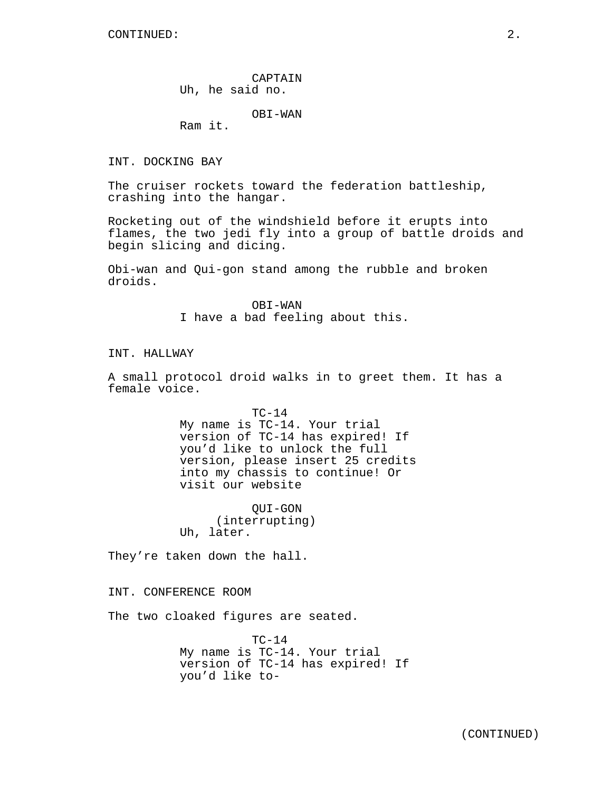CAPTAIN Uh, he said no.

OBI-WAN

Ram it.

INT. DOCKING BAY

The cruiser rockets toward the federation battleship, crashing into the hangar.

Rocketing out of the windshield before it erupts into flames, the two jedi fly into a group of battle droids and begin slicing and dicing.

Obi-wan and Qui-gon stand among the rubble and broken droids.

> OBI-WAN I have a bad feeling about this.

INT. HALLWAY

A small protocol droid walks in to greet them. It has a female voice.

> TC-14 My name is TC-14. Your trial version of TC-14 has expired! If you'd like to unlock the full version, please insert 25 credits into my chassis to continue! Or visit our website

QUI-GON (interrupting) Uh, later.

They're taken down the hall.

INT. CONFERENCE ROOM

The two cloaked figures are seated.

 $TC-14$ My name is TC-14. Your trial version of TC-14 has expired! If you'd like to-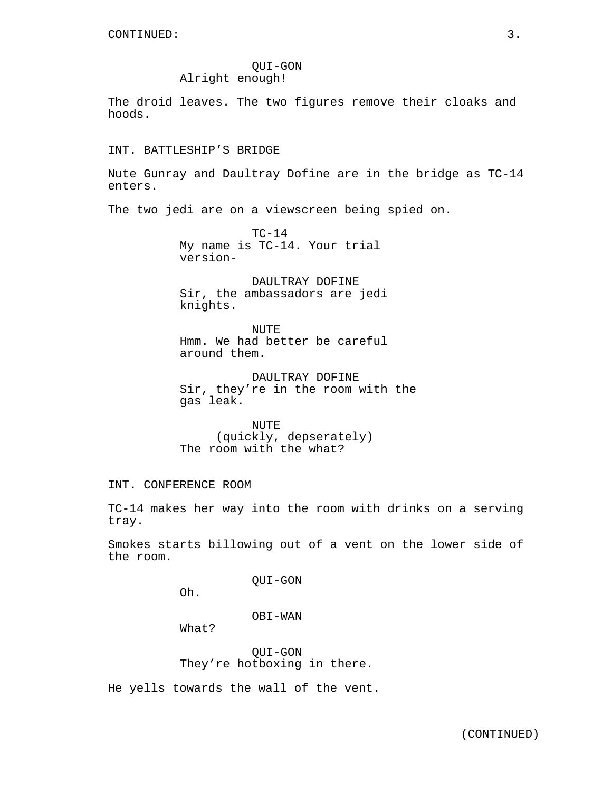# QUI-GON Alright enough!

The droid leaves. The two figures remove their cloaks and hoods.

INT. BATTLESHIP'S BRIDGE

Nute Gunray and Daultray Dofine are in the bridge as TC-14 enters.

The two jedi are on a viewscreen being spied on.

 $TC-14$ My name is TC-14. Your trial version-

DAULTRAY DOFINE Sir, the ambassadors are jedi knights.

NUTE Hmm. We had better be careful around them.

DAULTRAY DOFINE Sir, they're in the room with the gas leak.

NUTE (quickly, depserately) The room with the what?

INT. CONFERENCE ROOM

TC-14 makes her way into the room with drinks on a serving tray.

Smokes starts billowing out of a vent on the lower side of the room.

QUI-GON

Oh.

OBI-WAN

What?

QUI-GON They're hotboxing in there.

He yells towards the wall of the vent.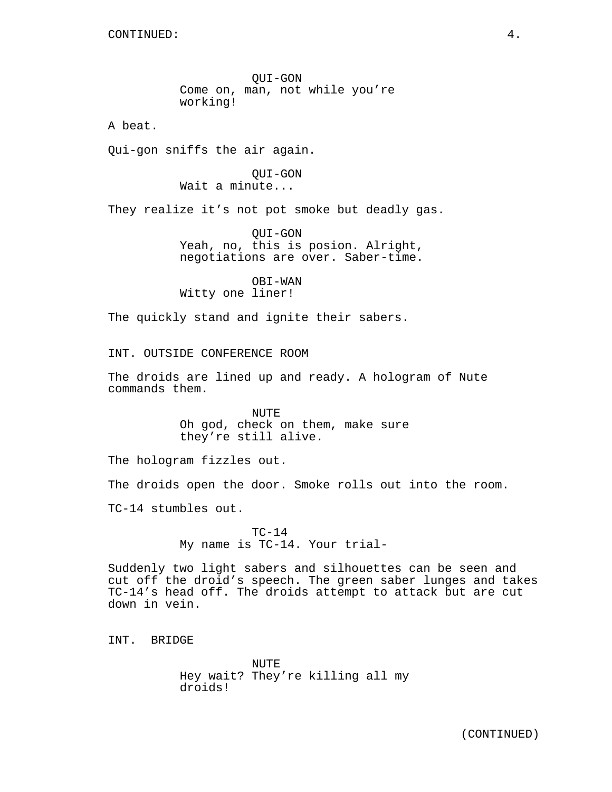CONTINUED: 4.

QUI-GON Come on, man, not while you're working!

A beat.

Qui-gon sniffs the air again.

QUI-GON Wait a minute...

They realize it's not pot smoke but deadly gas.

QUI-GON Yeah, no, this is posion. Alright, negotiations are over. Saber-time.

OBI-WAN Witty one liner!

The quickly stand and ignite their sabers.

INT. OUTSIDE CONFERENCE ROOM

The droids are lined up and ready. A hologram of Nute commands them.

> NUTE Oh god, check on them, make sure they're still alive.

The hologram fizzles out.

The droids open the door. Smoke rolls out into the room.

TC-14 stumbles out.

 $TC-14$ My name is TC-14. Your trial-

Suddenly two light sabers and silhouettes can be seen and cut off the droid's speech. The green saber lunges and takes TC-14's head off. The droids attempt to attack but are cut down in vein.

INT. BRIDGE

NUTE Hey wait? They're killing all my droids!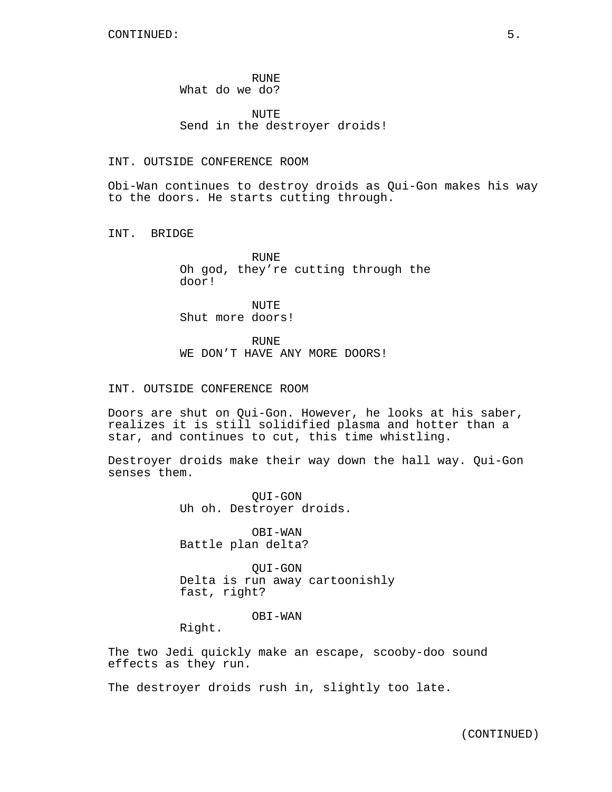RUNE What do we do?

NUTE Send in the destroyer droids!

# INT. OUTSIDE CONFERENCE ROOM

Obi-Wan continues to destroy droids as Qui-Gon makes his way to the doors. He starts cutting through.

INT. BRIDGE

RUNE Oh god, they're cutting through the door!

NUTE Shut more doors!

RUNE

WE DON'T HAVE ANY MORE DOORS!

#### INT. OUTSIDE CONFERENCE ROOM

Doors are shut on Qui-Gon. However, he looks at his saber, realizes it is still solidified plasma and hotter than a star, and continues to cut, this time whistling.

Destroyer droids make their way down the hall way. Qui-Gon senses them.

> QUI-GON Uh oh. Destroyer droids.

OBI-WAN Battle plan delta?

QUI-GON Delta is run away cartoonishly fast, right?

## OBI-WAN

Right.

The two Jedi quickly make an escape, scooby-doo sound effects as they run.

The destroyer droids rush in, slightly too late.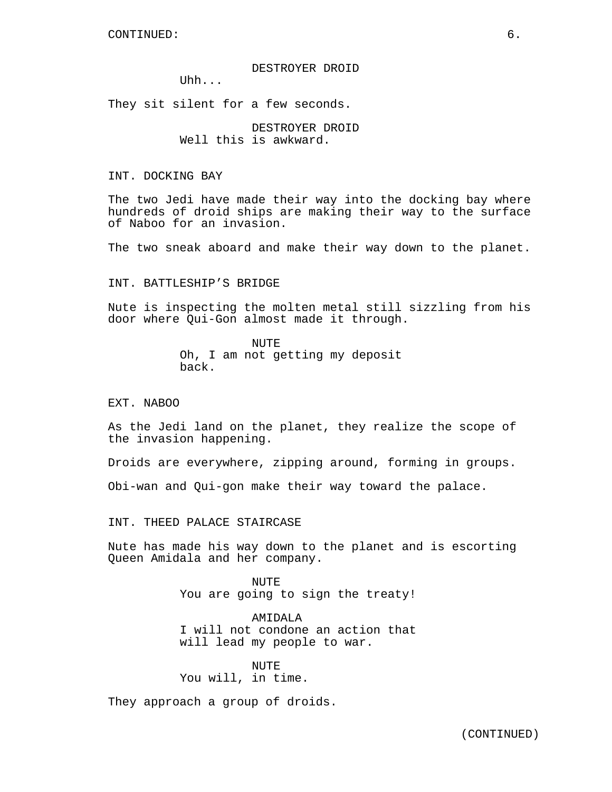#### DESTROYER DROID

Uhh...

They sit silent for a few seconds.

DESTROYER DROID Well this is awkward.

# INT. DOCKING BAY

The two Jedi have made their way into the docking bay where hundreds of droid ships are making their way to the surface of Naboo for an invasion.

The two sneak aboard and make their way down to the planet.

## INT. BATTLESHIP'S BRIDGE

Nute is inspecting the molten metal still sizzling from his door where Qui-Gon almost made it through.

> NUTE Oh, I am not getting my deposit back.

## EXT. NABOO

As the Jedi land on the planet, they realize the scope of the invasion happening.

Droids are everywhere, zipping around, forming in groups.

Obi-wan and Qui-gon make their way toward the palace.

INT. THEED PALACE STAIRCASE

Nute has made his way down to the planet and is escorting Queen Amidala and her company.

> NUTE You are going to sign the treaty!

> AMIDALA I will not condone an action that will lead my people to war.

NUTE. You will, in time.

They approach a group of droids.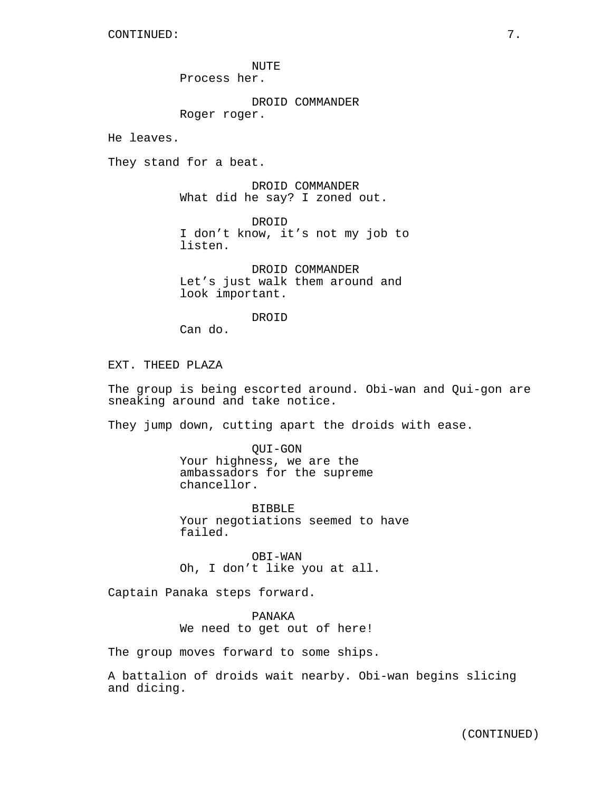NUTE Process her.

DROID COMMANDER Roger roger.

He leaves.

They stand for a beat.

DROID COMMANDER What did he say? I zoned out.

DROID I don't know, it's not my job to listen.

DROID COMMANDER Let's just walk them around and look important.

**DROTD** 

Can do.

EXT. THEED PLAZA

The group is being escorted around. Obi-wan and Qui-gon are sneaking around and take notice.

They jump down, cutting apart the droids with ease.

QUI-GON Your highness, we are the ambassadors for the supreme chancellor.

BIBBLE Your negotiations seemed to have failed.

OBI-WAN Oh, I don't like you at all.

Captain Panaka steps forward.

PANAKA We need to get out of here!

The group moves forward to some ships.

A battalion of droids wait nearby. Obi-wan begins slicing and dicing.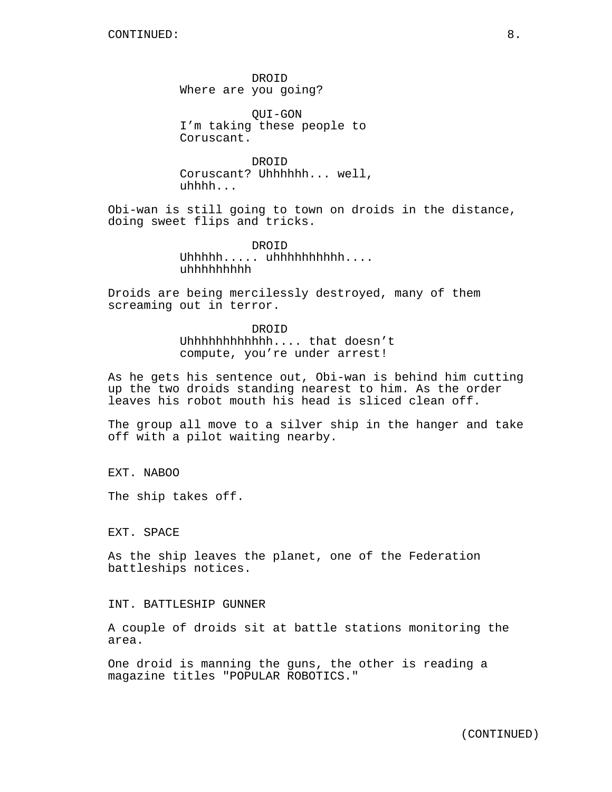DROID Where are you going?

QUI-GON I'm taking these people to Coruscant.

DROID Coruscant? Uhhhhhh... well, uhhhh...

Obi-wan is still going to town on droids in the distance, doing sweet flips and tricks.

> DROID Uhhhhh..... uhhhhhhhhhh.... uhhhhhhhhh

Droids are being mercilessly destroyed, many of them screaming out in terror.

> DROID Uhhhhhhhhhhhh.... that doesn't compute, you're under arrest!

As he gets his sentence out, Obi-wan is behind him cutting up the two droids standing nearest to him. As the order leaves his robot mouth his head is sliced clean off.

The group all move to a silver ship in the hanger and take off with a pilot waiting nearby.

EXT. NABOO

The ship takes off.

EXT. SPACE

As the ship leaves the planet, one of the Federation battleships notices.

INT. BATTLESHIP GUNNER

A couple of droids sit at battle stations monitoring the area.

One droid is manning the guns, the other is reading a magazine titles "POPULAR ROBOTICS."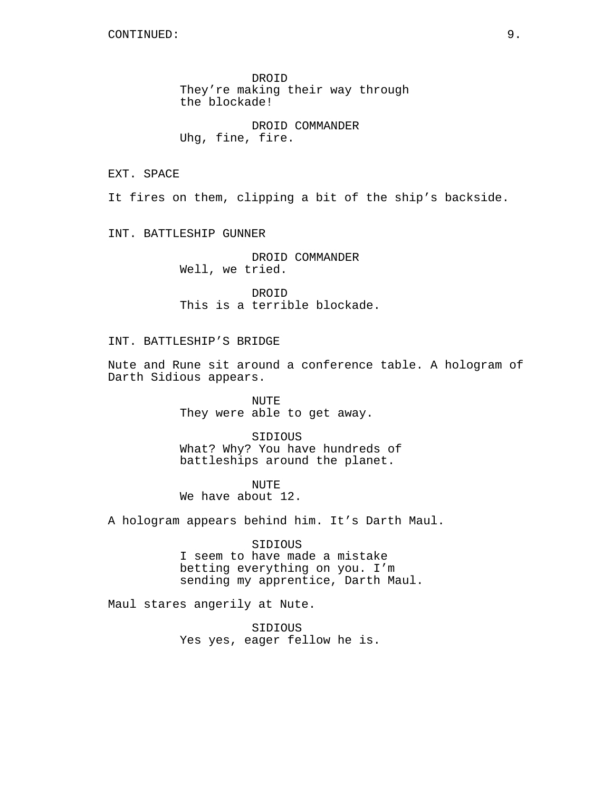DROID They're making their way through the blockade!

DROID COMMANDER Uhg, fine, fire.

EXT. SPACE

It fires on them, clipping a bit of the ship's backside.

INT. BATTLESHIP GUNNER

DROID COMMANDER Well, we tried.

DROID This is a terrible blockade.

# INT. BATTLESHIP'S BRIDGE

Nute and Rune sit around a conference table. A hologram of Darth Sidious appears.

> NUTE They were able to get away.

SIDIOUS What? Why? You have hundreds of battleships around the planet.

NUTE We have about 12.

A hologram appears behind him. It's Darth Maul.

SIDIOUS I seem to have made a mistake betting everything on you. I'm sending my apprentice, Darth Maul.

Maul stares angerily at Nute.

SIDIOUS Yes yes, eager fellow he is.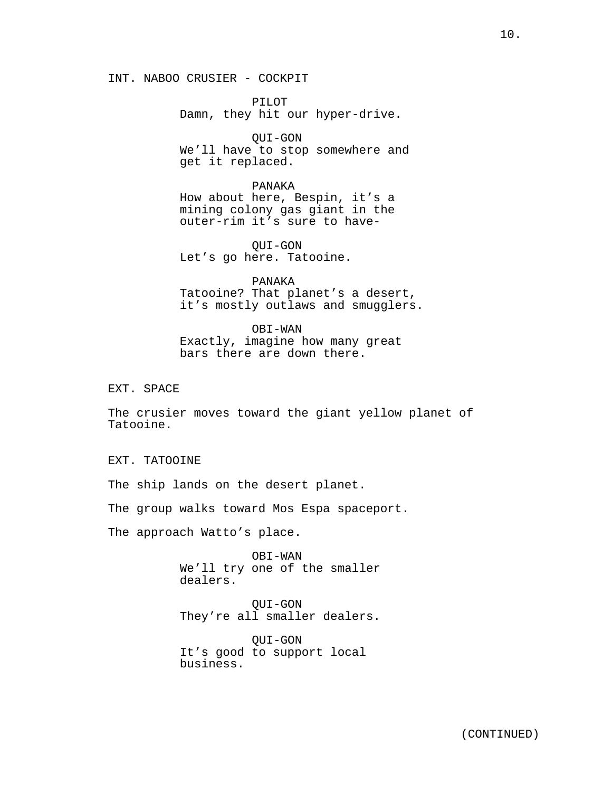PILOT Damn, they hit our hyper-drive.

QUI-GON We'll have to stop somewhere and get it replaced.

PANAKA How about here, Bespin, it's a mining colony gas giant in the outer-rim it's sure to have-

QUI-GON Let's go here. Tatooine.

PANAKA Tatooine? That planet's a desert, it's mostly outlaws and smugglers.

OBI-WAN Exactly, imagine how many great bars there are down there.

EXT. SPACE

The crusier moves toward the giant yellow planet of Tatooine.

EXT. TATOOINE

The ship lands on the desert planet.

The group walks toward Mos Espa spaceport.

The approach Watto's place.

OBI-WAN We'll try one of the smaller dealers.

QUI-GON They're all smaller dealers.

QUI-GON It's good to support local business.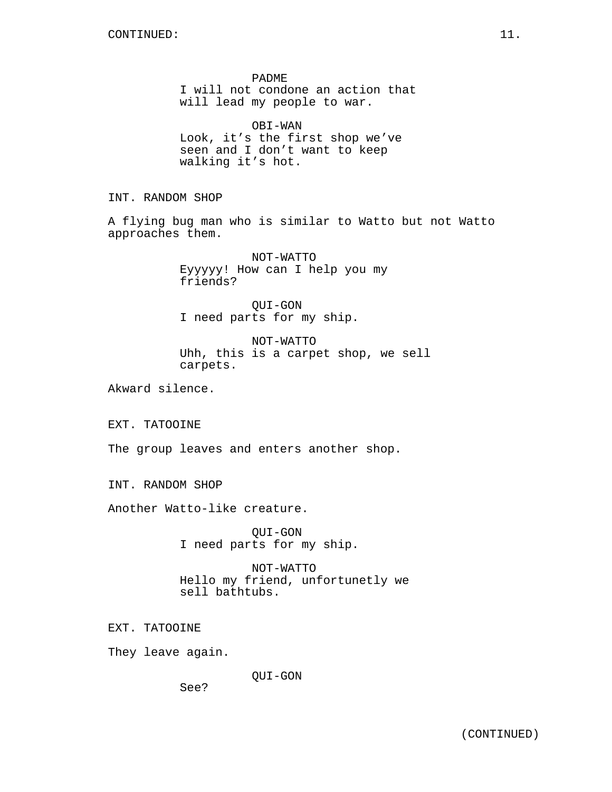PADME I will not condone an action that will lead my people to war.

OBI-WAN Look, it's the first shop we've seen and I don't want to keep walking it's hot.

INT. RANDOM SHOP

A flying bug man who is similar to Watto but not Watto approaches them.

> NOT-WATTO Eyyyyy! How can I help you my friends?

QUI-GON I need parts for my ship.

NOT-WATTO Uhh, this is a carpet shop, we sell carpets.

Akward silence.

EXT. TATOOINE

The group leaves and enters another shop.

INT. RANDOM SHOP

Another Watto-like creature.

QUI-GON I need parts for my ship.

NOT-WATTO Hello my friend, unfortunetly we sell bathtubs.

EXT. TATOOINE

They leave again.

QUI-GON

See?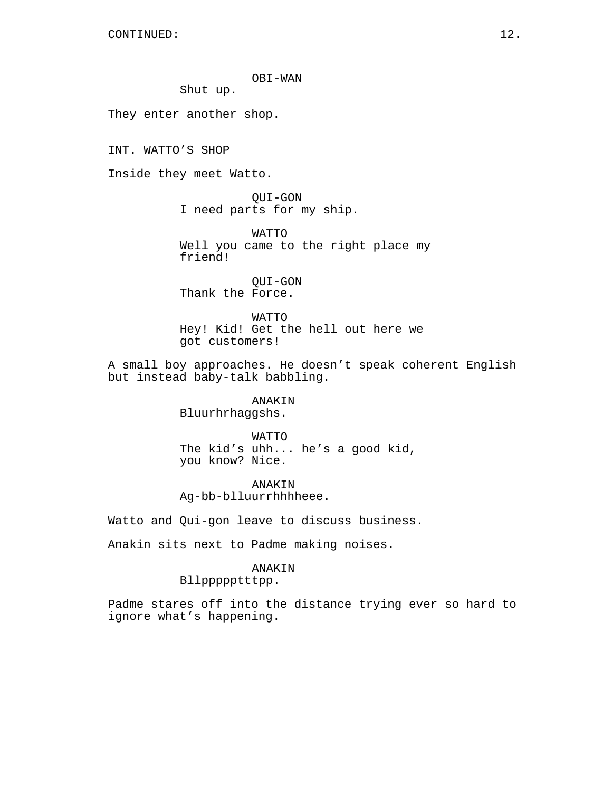# OBI-WAN

Shut up.

They enter another shop.

INT. WATTO'S SHOP

Inside they meet Watto.

QUI-GON I need parts for my ship.

WATTO Well you came to the right place my friend!

QUI-GON Thank the Force.

WATTO Hey! Kid! Get the hell out here we got customers!

A small boy approaches. He doesn't speak coherent English but instead baby-talk babbling.

> ANAKIN Bluurhrhaggshs.

WATTO The kid's uhh... he's a good kid, you know? Nice.

ANAKIN Ag-bb-blluurrhhhheee.

Watto and Qui-gon leave to discuss business.

Anakin sits next to Padme making noises.

# ANAKIN

## Bllppppptttpp.

Padme stares off into the distance trying ever so hard to ignore what's happening.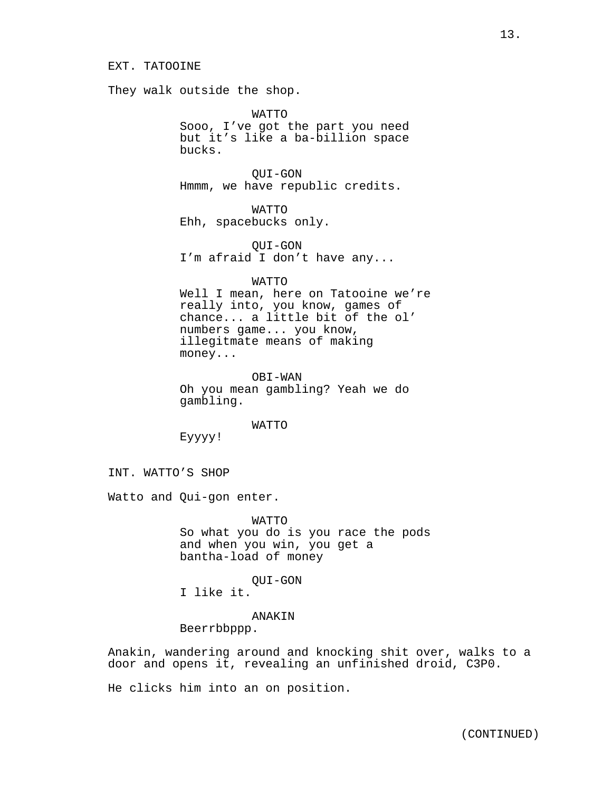They walk outside the shop.

WATTO

Sooo, I've got the part you need but it's like a ba-billion space bucks.

QUI-GON Hmmm, we have republic credits.

WATTO Ehh, spacebucks only.

QUI-GON I'm afraid I don't have any...

WATTO

Well I mean, here on Tatooine we're really into, you know, games of chance... a little bit of the ol' numbers game... you know, illegitmate means of making money...

OBI-WAN Oh you mean gambling? Yeah we do gambling.

WATTO

Eyyyy!

INT. WATTO'S SHOP

Watto and Qui-gon enter.

WATTO So what you do is you race the pods and when you win, you get a bantha-load of money

QUI-GON

I like it.

# ANAKIN

Beerrbbppp.

Anakin, wandering around and knocking shit over, walks to a door and opens it, revealing an unfinished droid, C3P0.

He clicks him into an on position.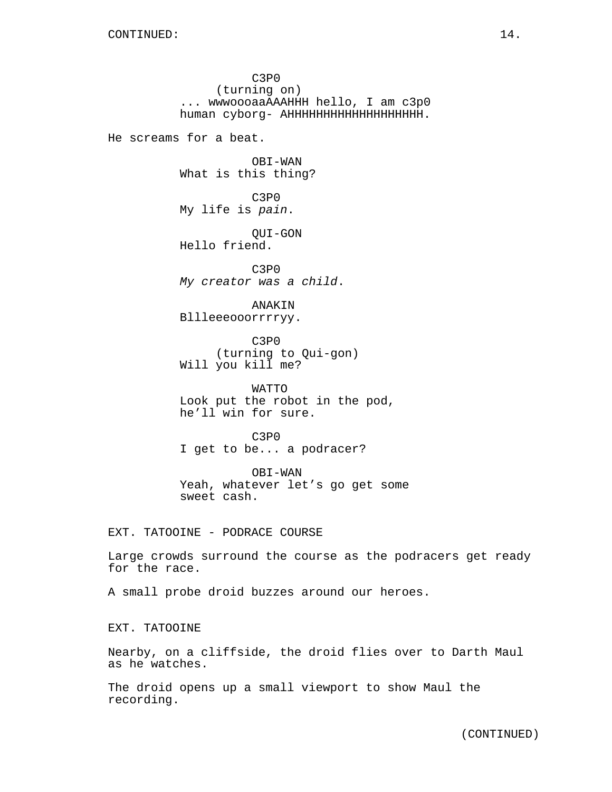C3P0 (turning on) ... wwwoooaaAAAHHH hello, I am c3p0 human cyborg- AHHHHHHHHHHHHHHHHHHH. He screams for a beat. OBI-WAN What is this thing? C3P0 My life is *pain*. QUI-GON Hello friend. C3P0 *My creator was a child*. ANAKIN Bllleeeooorrrryy. C3P0 (turning to Qui-gon) Will you kill me? WATTO Look put the robot in the pod, he'll win for sure. C3P0 I get to be... a podracer? OBI-WAN Yeah, whatever let's go get some sweet cash. EXT. TATOOINE - PODRACE COURSE Large crowds surround the course as the podracers get ready for the race. A small probe droid buzzes around our heroes. EXT. TATOOINE

Nearby, on a cliffside, the droid flies over to Darth Maul as he watches.

The droid opens up a small viewport to show Maul the recording.

(CONTINUED)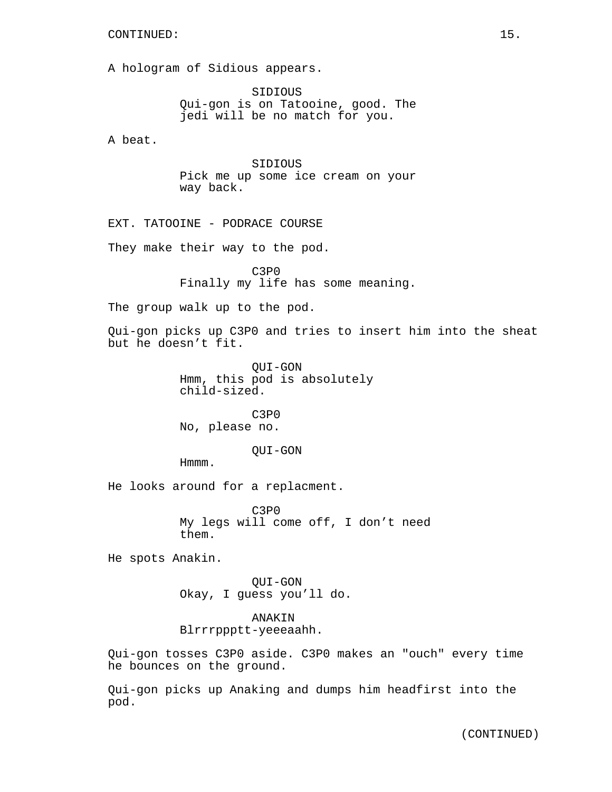## CONTINUED: 15.

A hologram of Sidious appears.

SIDIOUS Qui-gon is on Tatooine, good. The jedi will be no match for you.

A beat.

SIDIOUS Pick me up some ice cream on your way back.

EXT. TATOOINE - PODRACE COURSE

They make their way to the pod.

C3P0 Finally my life has some meaning.

The group walk up to the pod.

Qui-gon picks up C3P0 and tries to insert him into the sheat but he doesn't fit.

> QUI-GON Hmm, this pod is absolutely child-sized.

C3P0 No, please no.

# QUI-GON

Hmmm.

He looks around for a replacment.

C3P0 My legs will come off, I don't need them.

He spots Anakin.

QUI-GON Okay, I guess you'll do.

# ANAKIN Blrrrppptt-yeeeaahh.

Qui-gon tosses C3P0 aside. C3P0 makes an "ouch" every time he bounces on the ground.

Qui-gon picks up Anaking and dumps him headfirst into the pod.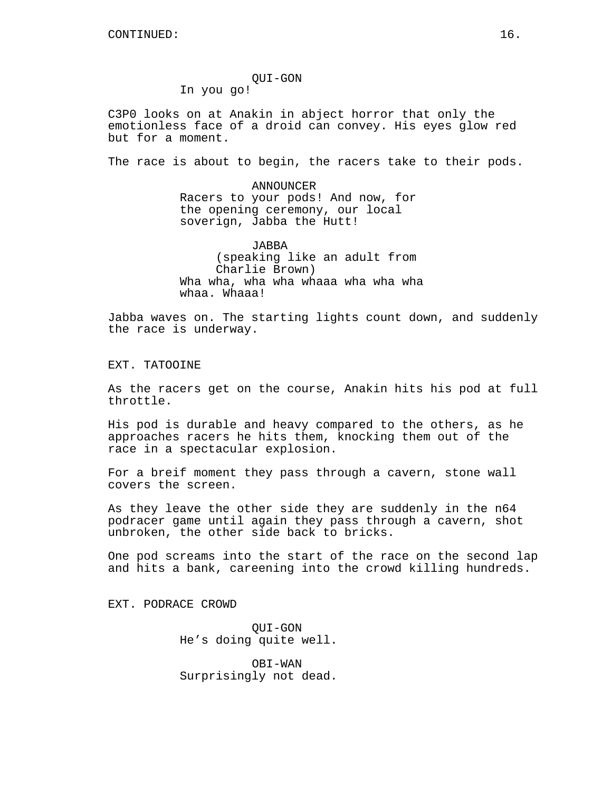QUI-GON In you go!

C3P0 looks on at Anakin in abject horror that only the emotionless face of a droid can convey. His eyes glow red but for a moment.

The race is about to begin, the racers take to their pods.

ANNOUNCER Racers to your pods! And now, for the opening ceremony, our local soverign, Jabba the Hutt!

JABBA (speaking like an adult from Charlie Brown) Wha wha, wha wha whaaa wha wha wha whaa. Whaaa!

Jabba waves on. The starting lights count down, and suddenly the race is underway.

EXT. TATOOINE

As the racers get on the course, Anakin hits his pod at full throttle.

His pod is durable and heavy compared to the others, as he approaches racers he hits them, knocking them out of the race in a spectacular explosion.

For a breif moment they pass through a cavern, stone wall covers the screen.

As they leave the other side they are suddenly in the n64 podracer game until again they pass through a cavern, shot unbroken, the other side back to bricks.

One pod screams into the start of the race on the second lap and hits a bank, careening into the crowd killing hundreds.

EXT. PODRACE CROWD

QUI-GON He's doing quite well.

OBI-WAN Surprisingly not dead.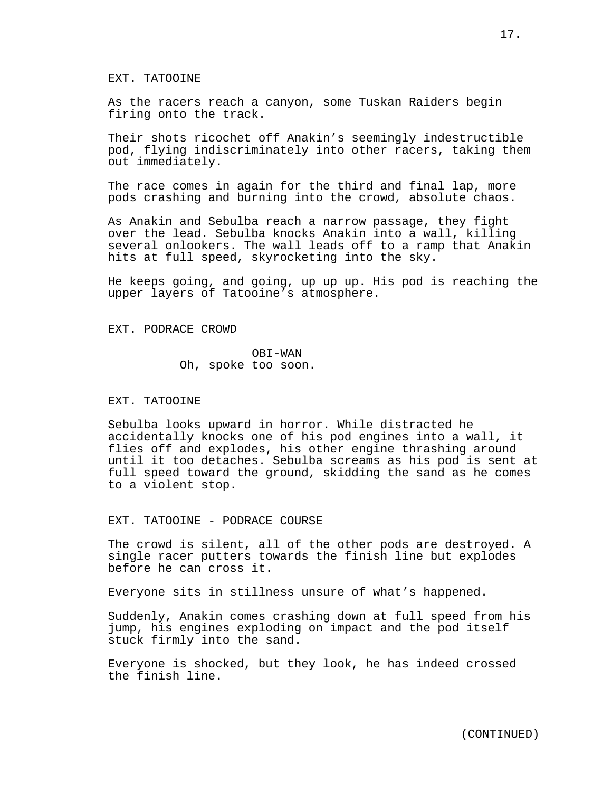### EXT. TATOOINE

As the racers reach a canyon, some Tuskan Raiders begin firing onto the track.

Their shots ricochet off Anakin's seemingly indestructible pod, flying indiscriminately into other racers, taking them out immediately.

The race comes in again for the third and final lap, more pods crashing and burning into the crowd, absolute chaos.

As Anakin and Sebulba reach a narrow passage, they fight over the lead. Sebulba knocks Anakin into a wall, killing several onlookers. The wall leads off to a ramp that Anakin hits at full speed, skyrocketing into the sky.

He keeps going, and going, up up up. His pod is reaching the upper layers of Tatooine's atmosphere.

EXT. PODRACE CROWD

OBI-WAN Oh, spoke too soon.

#### EXT. TATOOINE

Sebulba looks upward in horror. While distracted he accidentally knocks one of his pod engines into a wall, it flies off and explodes, his other engine thrashing around until it too detaches. Sebulba screams as his pod is sent at full speed toward the ground, skidding the sand as he comes to a violent stop.

EXT. TATOOINE - PODRACE COURSE

The crowd is silent, all of the other pods are destroyed. A single racer putters towards the finish line but explodes before he can cross it.

Everyone sits in stillness unsure of what's happened.

Suddenly, Anakin comes crashing down at full speed from his jump, his engines exploding on impact and the pod itself stuck firmly into the sand.

Everyone is shocked, but they look, he has indeed crossed the finish line.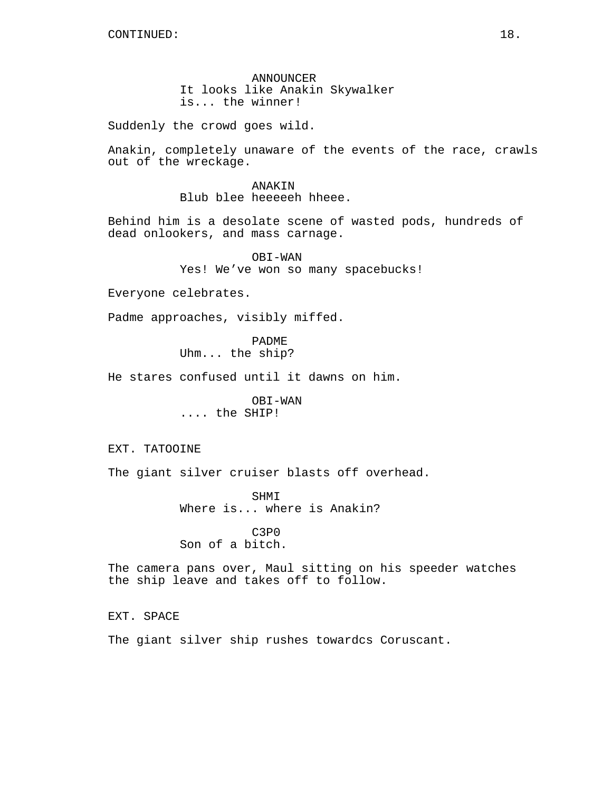ANNOUNCER It looks like Anakin Skywalker is... the winner!

Suddenly the crowd goes wild.

Anakin, completely unaware of the events of the race, crawls out of the wreckage.

> ANAKIN Blub blee heeeeeh hheee.

Behind him is a desolate scene of wasted pods, hundreds of dead onlookers, and mass carnage.

> OBI-WAN Yes! We've won so many spacebucks!

Everyone celebrates.

Padme approaches, visibly miffed.

PADME Uhm... the ship?

He stares confused until it dawns on him.

OBI-WAN .... the SHIP!

EXT. TATOOINE

The giant silver cruiser blasts off overhead.

SHMI Where is... where is Anakin?

C3P0 Son of a bitch.

The camera pans over, Maul sitting on his speeder watches the ship leave and takes off to follow.

EXT. SPACE

The giant silver ship rushes towardcs Coruscant.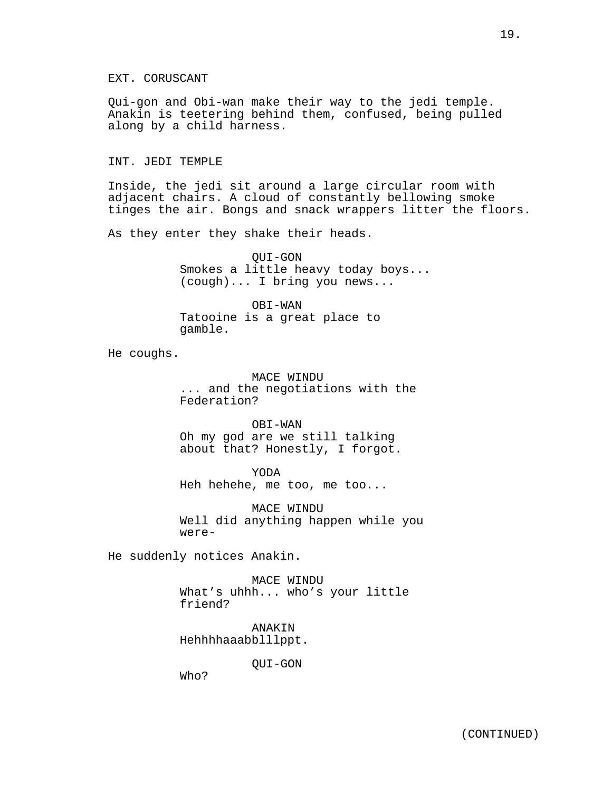Qui-gon and Obi-wan make their way to the jedi temple. Anakin is teetering behind them, confused, being pulled along by a child harness.

INT. JEDI TEMPLE

Inside, the jedi sit around a large circular room with adjacent chairs. A cloud of constantly bellowing smoke tinges the air. Bongs and snack wrappers litter the floors.

As they enter they shake their heads.

QUI-GON Smokes a little heavy today boys... (cough)... I bring you news...

OBI-WAN Tatooine is a great place to gamble.

He coughs.

MACE WINDU ... and the negotiations with the Federation?

OBI-WAN Oh my god are we still talking about that? Honestly, I forgot.

YODA Heh hehehe, me too, me too...

MACE WINDU Well did anything happen while you were-

He suddenly notices Anakin.

MACE WINDU What's uhhh... who's your little friend?

ANAKIN Hehhhhaaabblllppt.

QUI-GON

Who?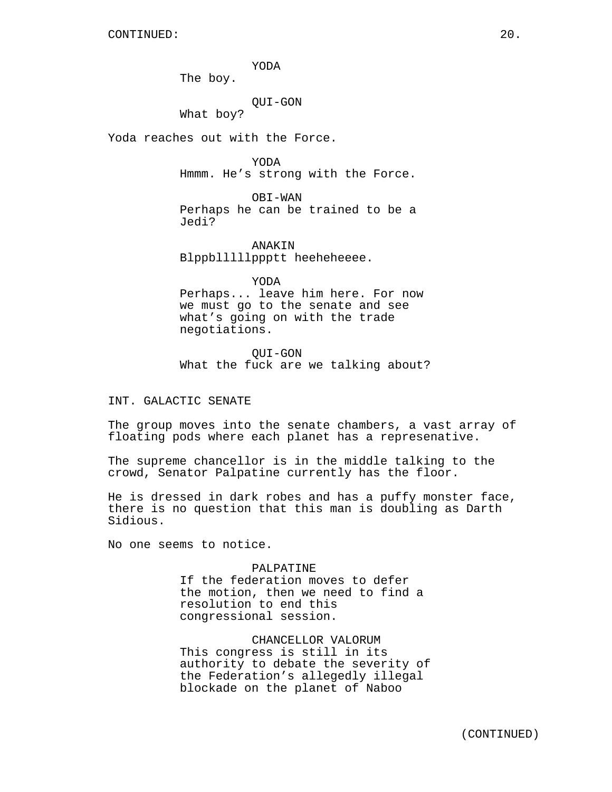YODA

The boy.

## QUI-GON

What boy?

Yoda reaches out with the Force.

YODA Hmmm. He's strong with the Force.

OBI-WAN Perhaps he can be trained to be a Jedi?

ANAKIN Blppblllllppptt heeheheeee.

YODA Perhaps... leave him here. For now we must go to the senate and see what's going on with the trade negotiations.

QUI-GON What the fuck are we talking about?

INT. GALACTIC SENATE

The group moves into the senate chambers, a vast array of floating pods where each planet has a represenative.

The supreme chancellor is in the middle talking to the crowd, Senator Palpatine currently has the floor.

He is dressed in dark robes and has a puffy monster face, there is no question that this man is doubling as Darth Sidious.

No one seems to notice.

# PALPATINE

If the federation moves to defer the motion, then we need to find a resolution to end this congressional session.

## CHANCELLOR VALORUM

This congress is still in its authority to debate the severity of the Federation's allegedly illegal blockade on the planet of Naboo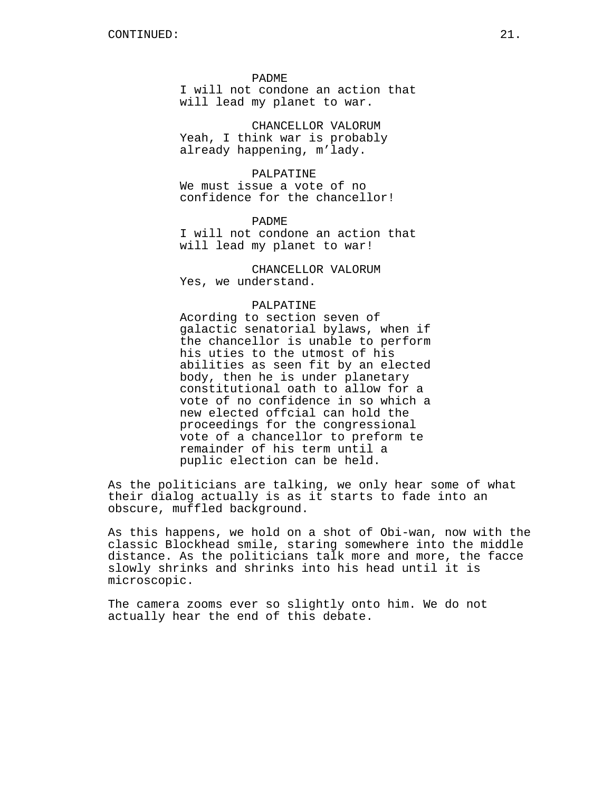PADME

I will not condone an action that will lead my planet to war.

CHANCELLOR VALORUM Yeah, I think war is probably already happening, m'lady.

## PALPATINE

We must issue a vote of no confidence for the chancellor!

PADME I will not condone an action that will lead my planet to war!

CHANCELLOR VALORUM Yes, we understand.

# PALPATINE

Acording to section seven of galactic senatorial bylaws, when if the chancellor is unable to perform his uties to the utmost of his abilities as seen fit by an elected body, then he is under planetary constitutional oath to allow for a vote of no confidence in so which a new elected offcial can hold the proceedings for the congressional vote of a chancellor to preform te remainder of his term until a puplic election can be held.

As the politicians are talking, we only hear some of what their dialog actually is as it starts to fade into an obscure, muffled background.

As this happens, we hold on a shot of Obi-wan, now with the classic Blockhead smile, staring somewhere into the middle distance. As the politicians talk more and more, the facce slowly shrinks and shrinks into his head until it is microscopic.

The camera zooms ever so slightly onto him. We do not actually hear the end of this debate.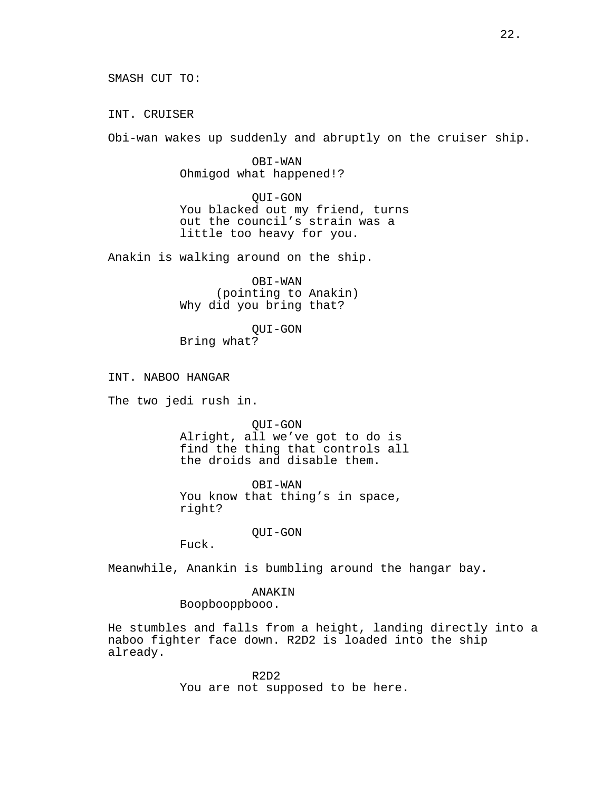INT. CRUISER

Obi-wan wakes up suddenly and abruptly on the cruiser ship.

OBI-WAN Ohmigod what happened!?

QUI-GON You blacked out my friend, turns out the council's strain was a little too heavy for you.

Anakin is walking around on the ship.

OBI-WAN (pointing to Anakin) Why did you bring that?

QUI-GON Bring what?

INT. NABOO HANGAR

The two jedi rush in.

QUI-GON Alright, all we've got to do is find the thing that controls all the droids and disable them.

OBI-WAN You know that thing's in space, right?

QUI-GON

Fuck.

Meanwhile, Anankin is bumbling around the hangar bay.

ANAKIN

Boopbooppbooo.

He stumbles and falls from a height, landing directly into a naboo fighter face down. R2D2 is loaded into the ship already.

> R2D2 You are not supposed to be here.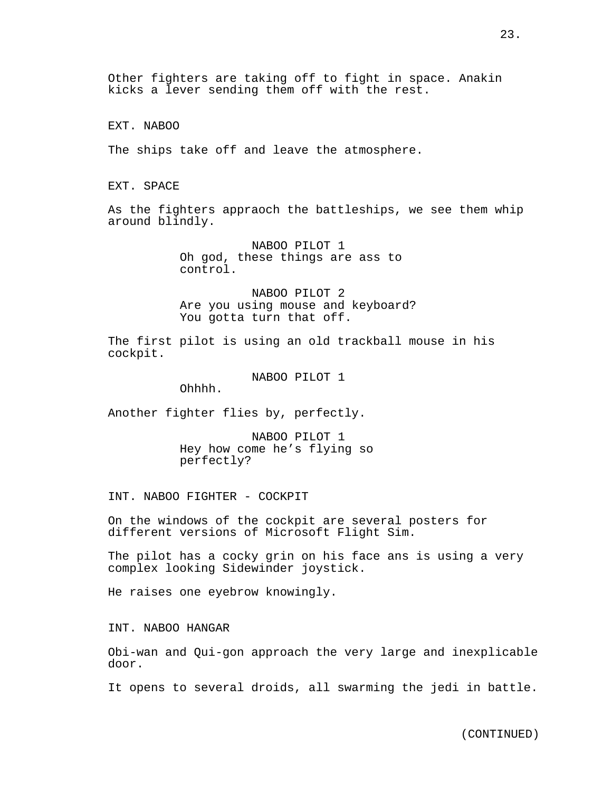Other fighters are taking off to fight in space. Anakin kicks a lever sending them off with the rest.

EXT. NABOO

The ships take off and leave the atmosphere.

EXT. SPACE

As the fighters appraoch the battleships, we see them whip around blindly.

> NABOO PILOT 1 Oh god, these things are ass to control.

NABOO PILOT 2 Are you using mouse and keyboard? You gotta turn that off.

The first pilot is using an old trackball mouse in his cockpit.

NABOO PILOT 1

Ohhhh.

Another fighter flies by, perfectly.

NABOO PILOT 1 Hey how come he's flying so perfectly?

INT. NABOO FIGHTER - COCKPIT

On the windows of the cockpit are several posters for different versions of Microsoft Flight Sim.

The pilot has a cocky grin on his face ans is using a very complex looking Sidewinder joystick.

He raises one eyebrow knowingly.

INT. NABOO HANGAR

Obi-wan and Qui-gon approach the very large and inexplicable door.

It opens to several droids, all swarming the jedi in battle.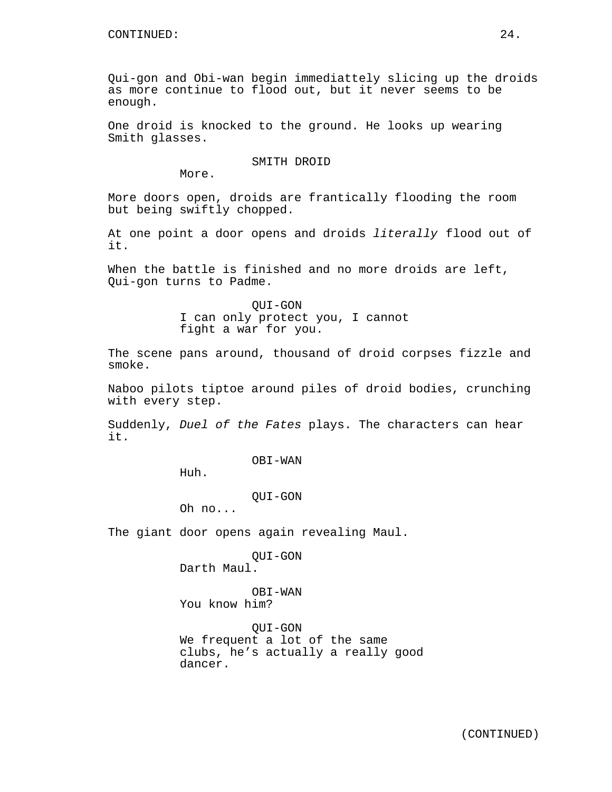Qui-gon and Obi-wan begin immediattely slicing up the droids as more continue to flood out, but it never seems to be enough.

One droid is knocked to the ground. He looks up wearing Smith glasses.

SMITH DROID

More.

More doors open, droids are frantically flooding the room but being swiftly chopped.

At one point a door opens and droids *literally* flood out of it.

When the battle is finished and no more droids are left, Qui-gon turns to Padme.

> QUI-GON I can only protect you, I cannot fight a war for you.

The scene pans around, thousand of droid corpses fizzle and smoke.

Naboo pilots tiptoe around piles of droid bodies, crunching with every step.

Suddenly, *Duel of the Fates* plays. The characters can hear it.

OBI-WAN

Huh.

QUI-GON

Oh no...

The giant door opens again revealing Maul.

QUI-GON Darth Maul.

OBI-WAN You know him?

QUI-GON We frequent a lot of the same clubs, he's actually a really good dancer.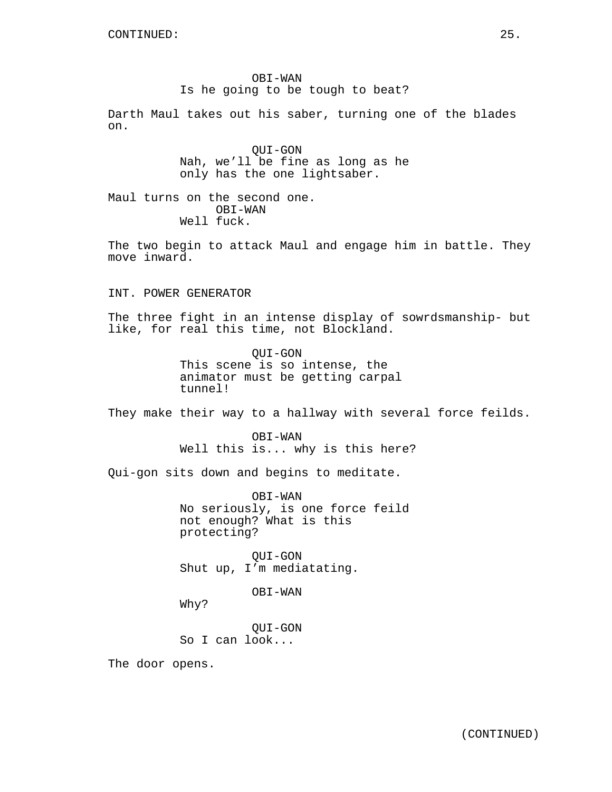OBI-WAN Is he going to be tough to beat?

Darth Maul takes out his saber, turning one of the blades on.

> QUI-GON Nah, we'll be fine as long as he only has the one lightsaber.

Maul turns on the second one. OBI-WAN Well fuck.

The two begin to attack Maul and engage him in battle. They move inward.

INT. POWER GENERATOR

The three fight in an intense display of sowrdsmanship- but like, for real this time, not Blockland.

> QUI-GON This scene is so intense, the animator must be getting carpal tunnel!

They make their way to a hallway with several force feilds.

OBI-WAN Well this is... why is this here?

Qui-gon sits down and begins to meditate.

OBI-WAN No seriously, is one force feild not enough? What is this protecting?

QUI-GON Shut up, I'm mediatating.

OBI-WAN

Why?

QUI-GON So I can look...

The door opens.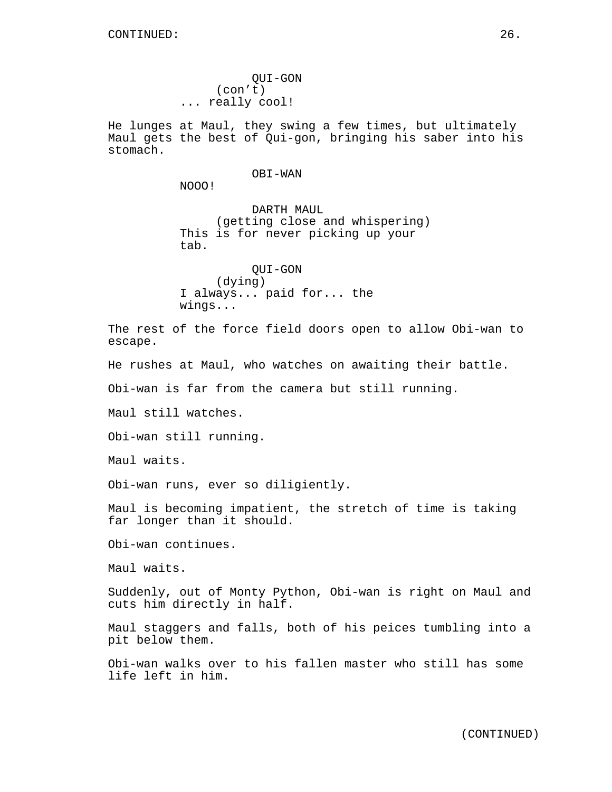QUI-GON (con't) ... really cool!

He lunges at Maul, they swing a few times, but ultimately Maul gets the best of Qui-gon, bringing his saber into his stomach.

#### OBI-WAN

NOOO!

DARTH MAUL (getting close and whispering) This is for never picking up your tab.

QUI-GON (dying) I always... paid for... the wings...

The rest of the force field doors open to allow Obi-wan to escape.

He rushes at Maul, who watches on awaiting their battle.

Obi-wan is far from the camera but still running.

Maul still watches.

Obi-wan still running.

Maul waits.

Obi-wan runs, ever so diligiently.

Maul is becoming impatient, the stretch of time is taking far longer than it should.

Obi-wan continues.

Maul waits.

Suddenly, out of Monty Python, Obi-wan is right on Maul and cuts him directly in half.

Maul staggers and falls, both of his peices tumbling into a pit below them.

Obi-wan walks over to his fallen master who still has some life left in him.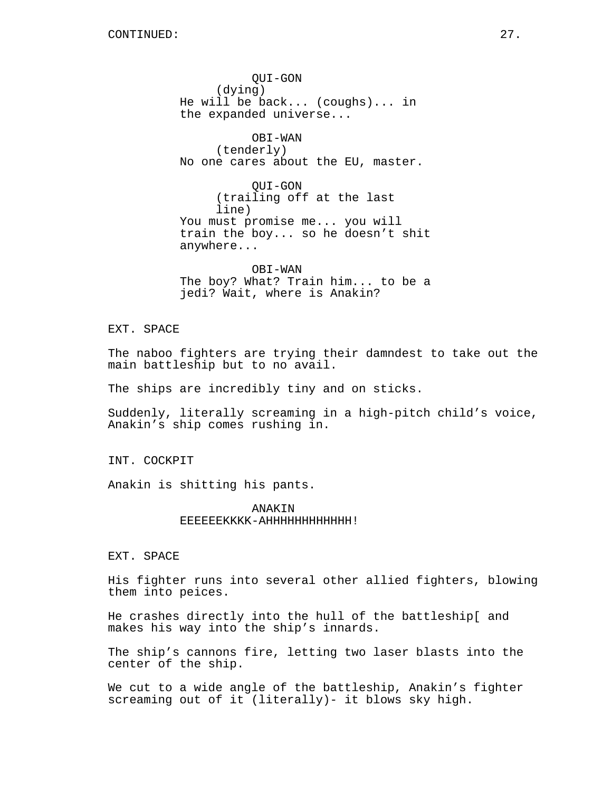QUI-GON (dying) He will be back... (coughs)... in the expanded universe... OBI-WAN (tenderly) No one cares about the EU, master. QUI-GON (trailing off at the last line)

You must promise me... you will train the boy... so he doesn't shit anywhere...

OBI-WAN The boy? What? Train him... to be a jedi? Wait, where is Anakin?

# EXT. SPACE

The naboo fighters are trying their damndest to take out the main battleship but to no avail.

The ships are incredibly tiny and on sticks.

Suddenly, literally screaming in a high-pitch child's voice, Anakin's ship comes rushing in.

INT. COCKPIT

Anakin is shitting his pants.

ANAKIN EEEEEEKKKK-AHHHHHHHHHHHH!

EXT. SPACE

His fighter runs into several other allied fighters, blowing them into peices.

He crashes directly into the hull of the battleship[ and makes his way into the ship's innards.

The ship's cannons fire, letting two laser blasts into the center of the ship.

We cut to a wide angle of the battleship, Anakin's fighter screaming out of it (literally)- it blows sky high.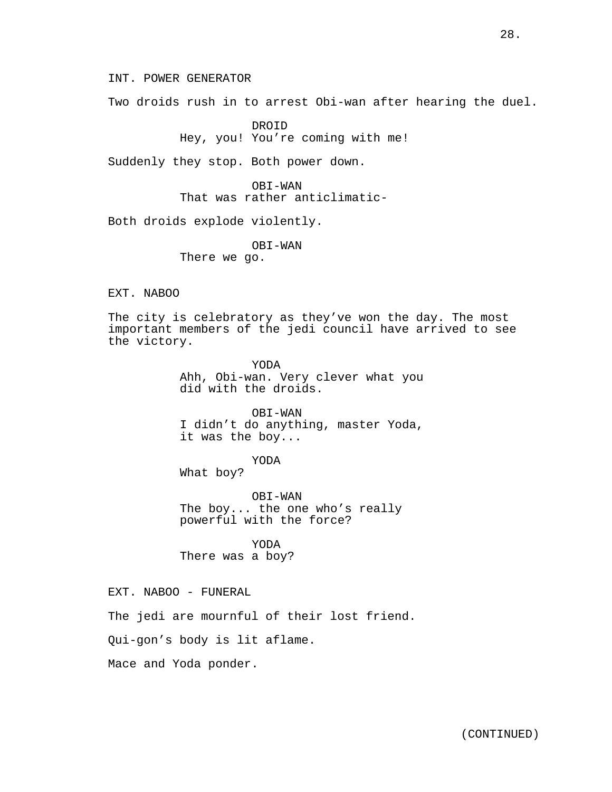INT. POWER GENERATOR

Two droids rush in to arrest Obi-wan after hearing the duel.

DROID Hey, you! You're coming with me!

Suddenly they stop. Both power down.

OBI-WAN That was rather anticlimatic-

Both droids explode violently.

OBI-WAN There we go.

EXT. NABOO

The city is celebratory as they've won the day. The most important members of the jedi council have arrived to see the victory.

> YODA Ahh, Obi-wan. Very clever what you did with the droids.

> OBI-WAN I didn't do anything, master Yoda, it was the boy...

> > YODA

What boy?

OBI-WAN The boy... the one who's really powerful with the force?

YODA There was a boy?

EXT. NABOO - FUNERAL

The jedi are mournful of their lost friend.

Qui-gon's body is lit aflame.

Mace and Yoda ponder.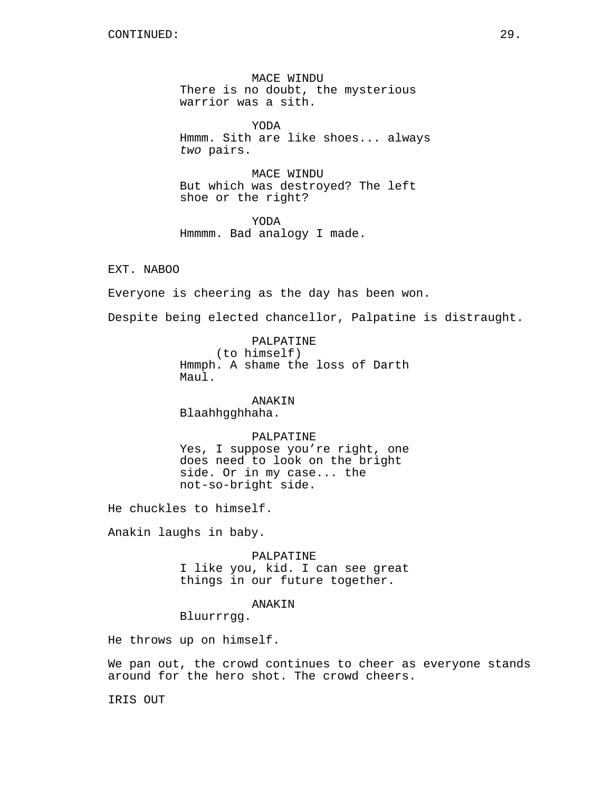MACE WINDU There is no doubt, the mysterious warrior was a sith.

YODA Hmmm. Sith are like shoes... always *two* pairs.

MACE WINDU But which was destroyed? The left shoe or the right?

YODA Hmmmm. Bad analogy I made.

EXT. NABOO

Everyone is cheering as the day has been won.

Despite being elected chancellor, Palpatine is distraught.

PALPATINE (to himself) Hmmph. A shame the loss of Darth Maul.

ANAKIN Blaahhgghhaha.

# PALPATINE

Yes, I suppose you're right, one does need to look on the bright side. Or in my case... the not-so-bright side.

He chuckles to himself.

Anakin laughs in baby.

PALPATINE I like you, kid. I can see great things in our future together.

## ANAKIN

Bluurrrgg.

He throws up on himself.

We pan out, the crowd continues to cheer as everyone stands around for the hero shot. The crowd cheers.

IRIS OUT